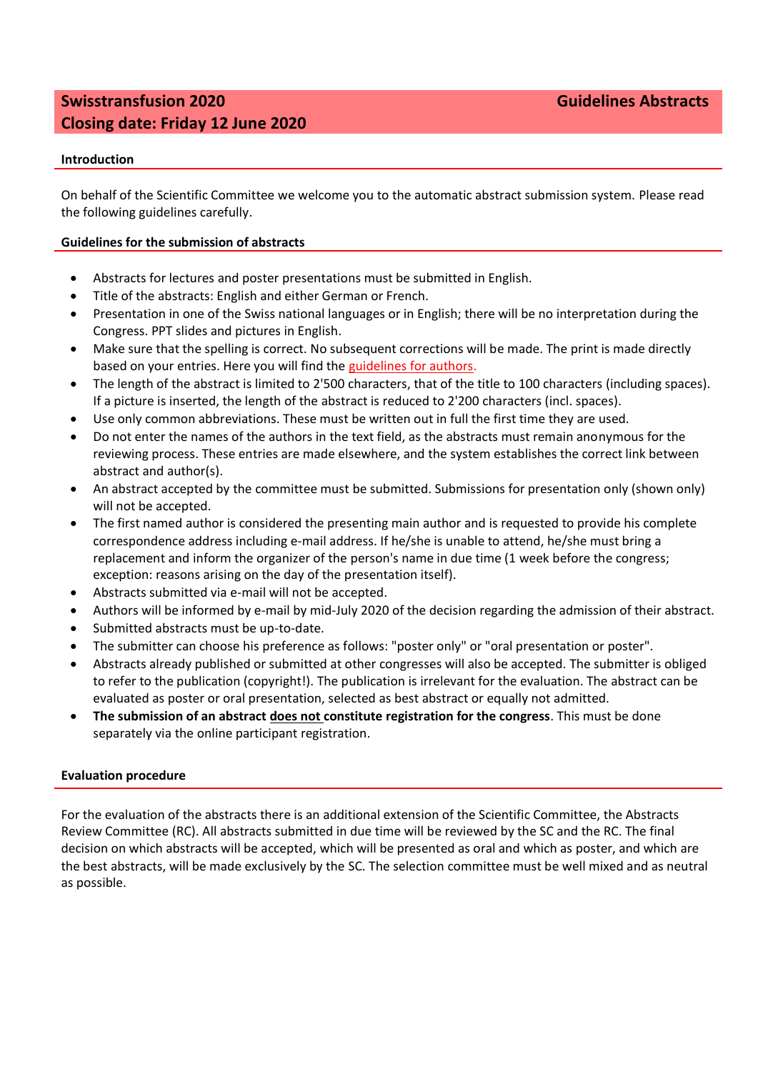# **Swisstransfusion 2020 Guidelines Abstracts Closing date: Friday 12 June 2020**

# **Introduction**

On behalf of the Scientific Committee we welcome you to the automatic abstract submission system. Please read the following guidelines carefully.

## **Guidelines for the submission of abstracts**

- Abstracts for lectures and poster presentations must be submitted in English.
- Title of the abstracts: English and either German or French.
- Presentation in one of the Swiss national languages or in English; there will be no interpretation during the Congress. PPT slides and pictures in English.
- Make sure that the spelling is correct. No subsequent corrections will be made. The print is made directly based on your entries. Here you will find the guidelines for authors.
- The length of the abstract is limited to 2'500 characters, that of the title to 100 characters (including spaces). If a picture is inserted, the length of the abstract is reduced to 2'200 characters (incl. spaces).
- Use only common abbreviations. These must be written out in full the first time they are used.
- Do not enter the names of the authors in the text field, as the abstracts must remain anonymous for the reviewing process. These entries are made elsewhere, and the system establishes the correct link between abstract and author(s).
- An abstract accepted by the committee must be submitted. Submissions for presentation only (shown only) will not be accepted.
- The first named author is considered the presenting main author and is requested to provide his complete correspondence address including e-mail address. If he/she is unable to attend, he/she must bring a replacement and inform the organizer of the person's name in due time (1 week before the congress; exception: reasons arising on the day of the presentation itself).
- Abstracts submitted via e-mail will not be accepted.
- Authors will be informed by e-mail by mid-July 2020 of the decision regarding the admission of their abstract.
- Submitted abstracts must be up-to-date.
- The submitter can choose his preference as follows: "poster only" or "oral presentation or poster".
- Abstracts already published or submitted at other congresses will also be accepted. The submitter is obliged to refer to the publication (copyright!). The publication is irrelevant for the evaluation. The abstract can be evaluated as poster or oral presentation, selected as best abstract or equally not admitted.
- **The submission of an abstract does not constitute registration for the congress**. This must be done separately via the online participant registration.

### **Evaluation procedure**

For the evaluation of the abstracts there is an additional extension of the Scientific Committee, the Abstracts Review Committee (RC). All abstracts submitted in due time will be reviewed by the SC and the RC. The final decision on which abstracts will be accepted, which will be presented as oral and which as poster, and which are the best abstracts, will be made exclusively by the SC. The selection committee must be well mixed and as neutral as possible.